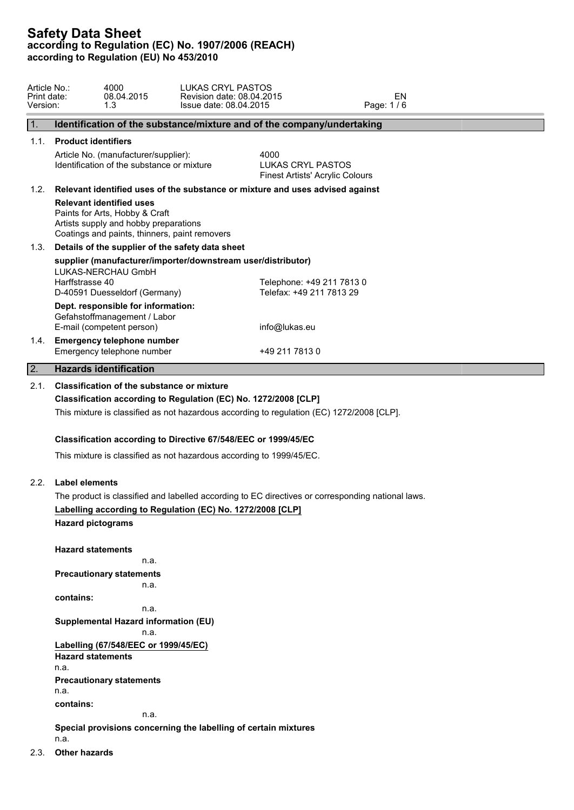| Article No.:<br>Print date:<br>Version: | LUKAS CRYL PASTOS<br>4000<br>08.04.2015<br>Revision date: 08.04.2015<br>Issue date: 08.04.2015<br>1.3                                                                                                                                                                                                                                                | EN<br>Page: 1/6                                                     |
|-----------------------------------------|------------------------------------------------------------------------------------------------------------------------------------------------------------------------------------------------------------------------------------------------------------------------------------------------------------------------------------------------------|---------------------------------------------------------------------|
| $\mathbf{1}$ .                          | Identification of the substance/mixture and of the company/undertaking                                                                                                                                                                                                                                                                               |                                                                     |
| 1.1.                                    | <b>Product identifiers</b>                                                                                                                                                                                                                                                                                                                           |                                                                     |
|                                         | Article No. (manufacturer/supplier):<br>Identification of the substance or mixture                                                                                                                                                                                                                                                                   | 4000<br>LUKAS CRYL PASTOS<br><b>Finest Artists' Acrylic Colours</b> |
| 1.2.                                    | Relevant identified uses of the substance or mixture and uses advised against<br><b>Relevant identified uses</b><br>Paints for Arts, Hobby & Craft                                                                                                                                                                                                   |                                                                     |
|                                         | Artists supply and hobby preparations<br>Coatings and paints, thinners, paint removers                                                                                                                                                                                                                                                               |                                                                     |
| 1.3.                                    | Details of the supplier of the safety data sheet                                                                                                                                                                                                                                                                                                     |                                                                     |
|                                         | supplier (manufacturer/importer/downstream user/distributor)<br>LUKAS-NERCHAU GmbH<br>Harffstrasse 40<br>D-40591 Duesseldorf (Germany)                                                                                                                                                                                                               | Telephone: +49 211 7813 0<br>Telefax: +49 211 7813 29               |
|                                         | Dept. responsible for information:<br>Gefahstoffmanagement / Labor<br>E-mail (competent person)                                                                                                                                                                                                                                                      | info@lukas.eu                                                       |
|                                         | 1.4. Emergency telephone number<br>Emergency telephone number                                                                                                                                                                                                                                                                                        | +49 211 7813 0                                                      |
| $\overline{2}$ .                        | <b>Hazards identification</b>                                                                                                                                                                                                                                                                                                                        |                                                                     |
| 2.1.                                    | Classification of the substance or mixture<br>Classification according to Regulation (EC) No. 1272/2008 [CLP]<br>This mixture is classified as not hazardous according to regulation (EC) 1272/2008 [CLP].<br>Classification according to Directive 67/548/EEC or 1999/45/EC<br>This mixture is classified as not hazardous according to 1999/45/EC. |                                                                     |
| 2.2.                                    | <b>Label elements</b><br>The product is classified and labelled according to EC directives or corresponding national laws.<br>Labelling according to Regulation (EC) No. 1272/2008 [CLP]<br><b>Hazard pictograms</b>                                                                                                                                 |                                                                     |
|                                         | <b>Hazard statements</b><br>n.a.<br><b>Precautionary statements</b><br>n.a.<br>contains:<br>n.a.<br><b>Supplemental Hazard information (EU)</b><br>n.a.<br>Labelling (67/548/EEC or 1999/45/EC)<br><b>Hazard statements</b><br>n.a.<br><b>Precautionary statements</b><br>n.a.<br>contains:<br>n.a.                                                  |                                                                     |
|                                         | Special provisions concerning the labelling of certain mixtures                                                                                                                                                                                                                                                                                      |                                                                     |

n.a.

2.3. **Other hazards**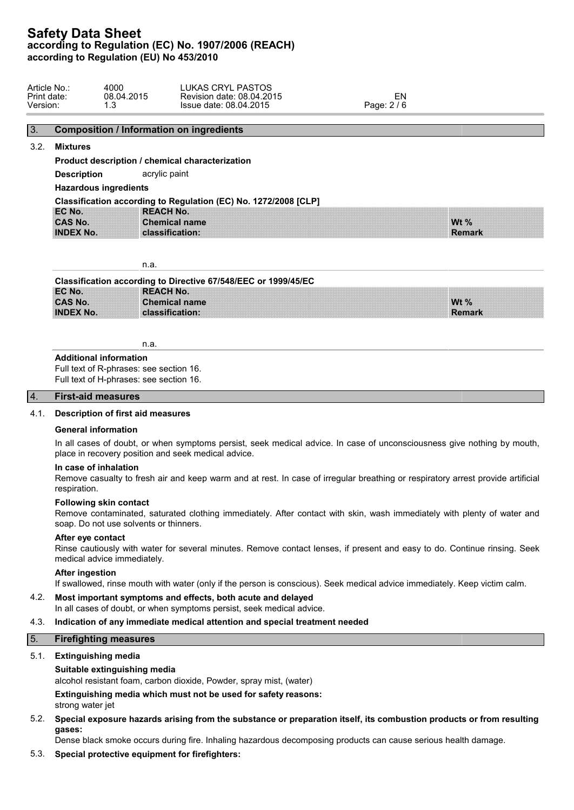|  | Article No<br>Print date:<br>Version: | 4000<br>08.04.2015<br>. . v | <b>CRYL PASTOS</b><br>∟UKAS<br>Revision date: 08.04.2015<br>Issue date: 08.04.2015 | EN<br>0 <sup>1</sup><br>Page: ∂ |  |
|--|---------------------------------------|-----------------------------|------------------------------------------------------------------------------------|---------------------------------|--|
|--|---------------------------------------|-----------------------------|------------------------------------------------------------------------------------|---------------------------------|--|

# 3. **Composition / Information on ingredients**

## 3.2. **Mixtures**

**Product description / chemical characterization**

**Description** acrylic paint

**Hazardous ingredients**

|                  | Classification according to Regulation (EC) No. 1272/2008 [CLP] |           |  |
|------------------|-----------------------------------------------------------------|-----------|--|
| EC No.           | <b>REACH No.</b>                                                |           |  |
| <b>CAS No.</b>   | <b>Chemical name</b>                                            | <b>Wt</b> |  |
| <b>INDEX No.</b> | classification:                                                 | Rer       |  |

n.a.

|                  | Classification according to Directive 67/548/EEC or 1999/45/EC |         |
|------------------|----------------------------------------------------------------|---------|
| EC No.           | <b>REACH No.</b>                                               |         |
| <b>CAS No.</b>   | <b>Chemical name</b>                                           | Wt $\%$ |
| <b>INDEX No.</b> | classification:                                                | Remark  |

**Wt % Remark**

n.a.

#### **Additional information**

Full text of R-phrases: see section 16. Full text of H-phrases: see section 16.

#### 4. **First-aid measures**

# 4.1. **Description of first aid measures**

#### **General information**

In all cases of doubt, or when symptoms persist, seek medical advice. In case of unconsciousness give nothing by mouth, place in recovery position and seek medical advice.

# **In case of inhalation**

Remove casualty to fresh air and keep warm and at rest. In case of irregular breathing or respiratory arrest provide artificial respiration.

#### **Following skin contact**

Remove contaminated, saturated clothing immediately. After contact with skin, wash immediately with plenty of water and soap. Do not use solvents or thinners.

#### **After eye contact**

Rinse cautiously with water for several minutes. Remove contact lenses, if present and easy to do. Continue rinsing. Seek medical advice immediately.

#### **After ingestion**

If swallowed, rinse mouth with water (only if the person is conscious). Seek medical advice immediately. Keep victim calm.

# 4.2. **Most important symptoms and effects, both acute and delayed**

In all cases of doubt, or when symptoms persist, seek medical advice.

# 4.3. **Indication of any immediate medical attention and special treatment needed**

# 5. **Firefighting measures**

# 5.1. **Extinguishing media**

# **Suitable extinguishing media**

alcohol resistant foam, carbon dioxide, Powder, spray mist, (water)

**Extinguishing media which must not be used for safety reasons:**

strong water jet

5.2. **Special exposure hazards arising from the substance or preparation itself, its combustion products or from resulting gases:**

Dense black smoke occurs during fire. Inhaling hazardous decomposing products can cause serious health damage.

# 5.3. **Special protective equipment for firefighters:**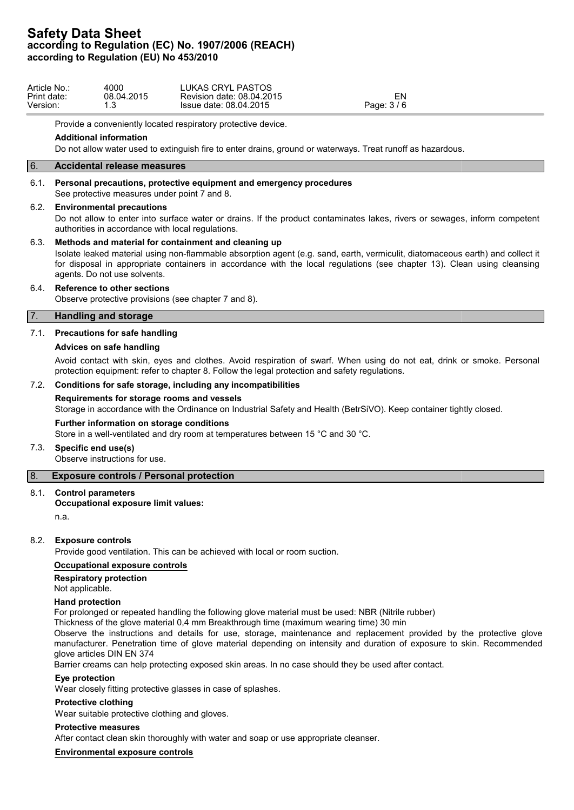| <b>LUKAS CRYL PASTOS</b><br>Article No.:<br>4000<br>Print date:<br>08.04.2015<br>Revision date: 08.04.2015<br>Version:<br>Issue date: 08.04.2015<br>$\overline{\phantom{a}}$<br>ں . | Page: 3/6 |
|-------------------------------------------------------------------------------------------------------------------------------------------------------------------------------------|-----------|
|-------------------------------------------------------------------------------------------------------------------------------------------------------------------------------------|-----------|

Provide a conveniently located respiratory protective device.

#### **Additional information**

Do not allow water used to extinguish fire to enter drains, ground or waterways. Treat runoff as hazardous.

# 6. **Accidental release measures**

#### 6.1. **Personal precautions, protective equipment and emergency procedures**

See protective measures under point 7 and 8.

#### 6.2. **Environmental precautions**

Do not allow to enter into surface water or drains. If the product contaminates lakes, rivers or sewages, inform competent authorities in accordance with local regulations.

### 6.3. **Methods and material for containment and cleaning up**

Isolate leaked material using non-flammable absorption agent (e.g. sand, earth, vermiculit, diatomaceous earth) and collect it for disposal in appropriate containers in accordance with the local regulations (see chapter 13). Clean using cleansing agents. Do not use solvents.

### 6.4. **Reference to other sections**

Observe protective provisions (see chapter 7 and 8).

### 7. **Handling and storage**

## 7.1. **Precautions for safe handling**

### **Advices on safe handling**

Avoid contact with skin, eyes and clothes. Avoid respiration of swarf. When using do not eat, drink or smoke. Personal protection equipment: refer to chapter 8. Follow the legal protection and safety regulations.

#### 7.2. **Conditions for safe storage, including any incompatibilities**

#### **Requirements for storage rooms and vessels**

Storage in accordance with the Ordinance on Industrial Safety and Health (BetrSiVO). Keep container tightly closed.

#### **Further information on storage conditions**

Store in a well-ventilated and dry room at temperatures between 15 °C and 30 °C.

#### 7.3. **Specific end use(s)**

Observe instructions for use.

# 8. **Exposure controls / Personal protection**

#### 8.1. **Control parameters**

#### **Occupational exposure limit values:**

n.a.

#### 8.2. **Exposure controls**

Provide good ventilation. This can be achieved with local or room suction.

#### **Occupational exposure controls**

# **Respiratory protection**

Not applicable.

#### **Hand protection**

For prolonged or repeated handling the following glove material must be used: NBR (Nitrile rubber)

Thickness of the glove material 0,4 mm Breakthrough time (maximum wearing time) 30 min

Observe the instructions and details for use, storage, maintenance and replacement provided by the protective glove manufacturer. Penetration time of glove material depending on intensity and duration of exposure to skin. Recommended glove articles DIN EN 374

Barrier creams can help protecting exposed skin areas. In no case should they be used after contact.

#### **Eye protection**

Wear closely fitting protective glasses in case of splashes.

#### **Protective clothing**

Wear suitable protective clothing and gloves.

#### **Protective measures**

After contact clean skin thoroughly with water and soap or use appropriate cleanser.

#### **Environmental exposure controls**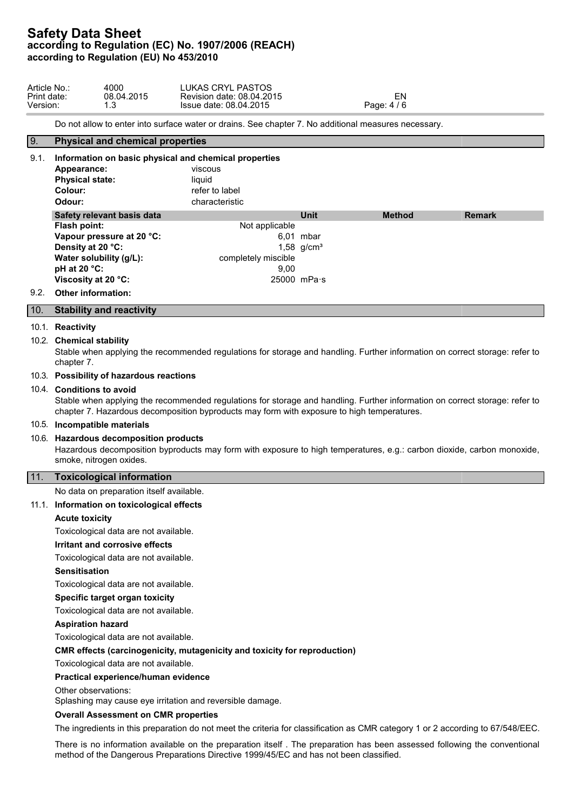| Article No.: | 4000       | LUKAS CRYL PASTOS         |           |  |
|--------------|------------|---------------------------|-----------|--|
| Print date:  | 08.04.2015 | Revision date: 08.04.2015 | ΕN        |  |
| Version:     |            | Issue date: 08.04.2015    | Page: 4/6 |  |

Do not allow to enter into surface water or drains. See chapter 7. No additional measures necessary.

# 9. **Physical and chemical properties** 9.1. **Information on basic physical and chemical properties Appearance:** viscous **Physical state:** liquid **Colour:** refer to label **Odour:** characteristic **Safety relevant basis data Unit Method Remark Flash point:** Not applicable **Vapour pressure at 20 °C:** 6,01 mbar **Density at 20 °C:** 1,58 g/cm<sup>3</sup> **Water solubility (g/L):** completely miscible **pH at 20 °C:** 9,00 **Viscosity at 20 °C:** 25000 mPa·s 9.2. **Other information:** 10. **Stability and reactivity**

#### 10.1. **Reactivity**

#### 10.2. **Chemical stability**

Stable when applying the recommended regulations for storage and handling. Further information on correct storage: refer to chapter 7.

# 10.3. **Possibility of hazardous reactions**

## 10.4. **Conditions to avoid**

Stable when applying the recommended regulations for storage and handling. Further information on correct storage: refer to chapter 7. Hazardous decomposition byproducts may form with exposure to high temperatures.

#### 10.5. **Incompatible materials**

#### 10.6. **Hazardous decomposition products**

Hazardous decomposition byproducts may form with exposure to high temperatures, e.g.: carbon dioxide, carbon monoxide, smoke, nitrogen oxides.

#### 11. **Toxicological information**

No data on preparation itself available.

#### 11.1. **Information on toxicological effects**

#### **Acute toxicity**

Toxicological data are not available.

#### **Irritant and corrosive effects**

Toxicological data are not available.

#### **Sensitisation**

Toxicological data are not available.

#### **Specific target organ toxicity**

Toxicological data are not available.

#### **Aspiration hazard**

Toxicological data are not available.

#### **CMR effects (carcinogenicity, mutagenicity and toxicity for reproduction)**

Toxicological data are not available.

## **Practical experience/human evidence**

Other observations:

Splashing may cause eye irritation and reversible damage.

#### **Overall Assessment on CMR properties**

The ingredients in this preparation do not meet the criteria for classification as CMR category 1 or 2 according to 67/548/EEC.

There is no information available on the preparation itself . The preparation has been assessed following the conventional method of the Dangerous Preparations Directive 1999/45/EC and has not been classified.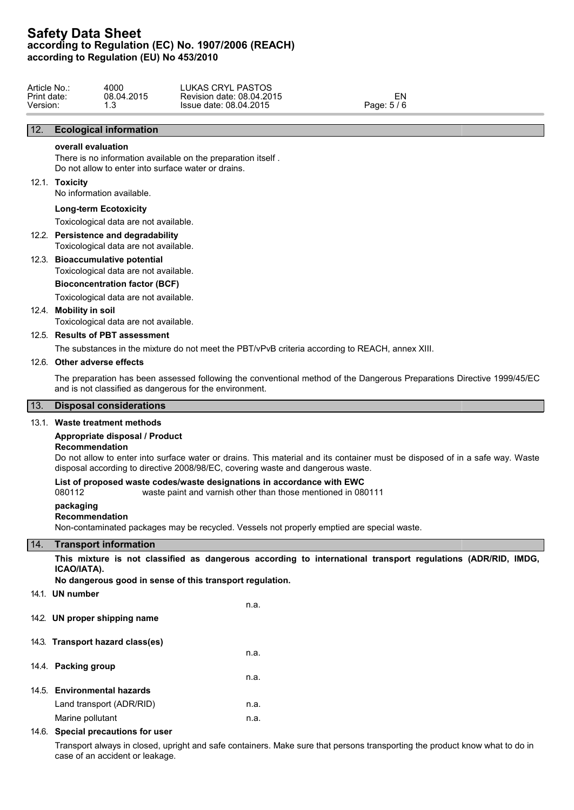| Article No.: | 4000       | LUKAS CRYL PASTOS         |           |
|--------------|------------|---------------------------|-----------|
| Print date:  | 08.04.2015 | Revision date: 08.04.2015 | - IV      |
| Version:     |            | Issue date: 08.04.2015    | Page: 5/6 |

# 12. **Ecological information**

# **overall evaluation**

There is no information available on the preparation itself . Do not allow to enter into surface water or drains.

#### 12.1. **Toxicity**

No information available.

#### **Long-term Ecotoxicity**

Toxicological data are not available.

# 12.2. **Persistence and degradability**

Toxicological data are not available.

# 12.3. **Bioaccumulative potential**

Toxicological data are not available.

#### **Bioconcentration factor (BCF)**

Toxicological data are not available.

## 12.4. **Mobility in soil**

Toxicological data are not available.

# 12.5. **Results of PBT assessment**

The substances in the mixture do not meet the PBT/vPvB criteria according to REACH, annex XIII.

#### 12.6. **Other adverse effects**

The preparation has been assessed following the conventional method of the Dangerous Preparations Directive 1999/45/EC and is not classified as dangerous for the environment.

# 13. **Disposal considerations**

# 13.1. **Waste treatment methods**

## **Appropriate disposal / Product**

#### **Recommendation**

Do not allow to enter into surface water or drains. This material and its container must be disposed of in a safe way. Waste disposal according to directive 2008/98/EC, covering waste and dangerous waste.

#### **List of proposed waste codes/waste designations in accordance with EWC**

080112 waste paint and varnish other than those mentioned in 080111

#### **packaging**

# **Recommendation**

Non-contaminated packages may be recycled. Vessels not properly emptied are special waste.

#### 14. **Transport information**

**This mixture is not classified as dangerous according to international transport regulations (ADR/RID, IMDG, ICAO/IATA).**

**No dangerous good in sense of this transport regulation.**

14.1. **UN number**

n.a.

n.a.

n.a.

- 14.2. **UN proper shipping name**
- 14.3. **Transport hazard class(es)**
- 14.4. **Packing group**
- 14.5. **Environmental hazards** Land transport (ADR/RID) n.a. Marine pollutant n.a.

#### 14.6. **Special precautions for user**

Transport always in closed, upright and safe containers. Make sure that persons transporting the product know what to do in case of an accident or leakage.